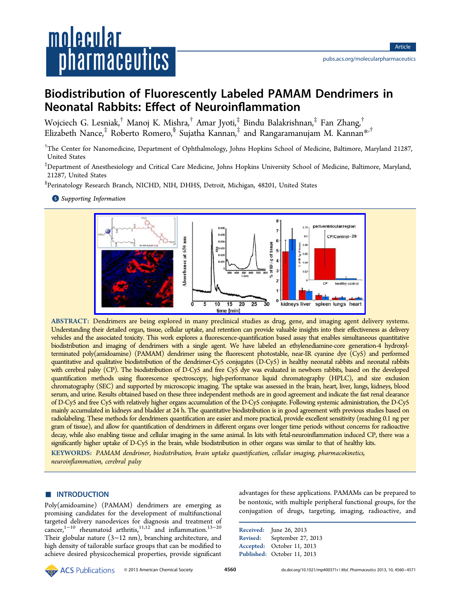# <u>molecular</u> *pharmaceutics*

# Biodistribution of Fluorescently Labeled PAMAM Dendrimers in Neonatal Rabbits: Effect of Neuroinflammation

Wojciech G. Lesniak,† Manoj K. Mishra,† Amar Jyoti,‡ Bindu Balakrishnan,‡ Fan Zhang,† Elizabeth Nance,<sup>‡</sup> Roberto Romero,<sup>§</sup> Sujatha Kannan,<sup>‡</sup> and Rangaramanujam M. Kannan<sup>\*,†</sup>

† The Center for Nanomedicine, Department of Ophthalmology, Johns Hopkins School of Medicine, Baltimore, [M](#page-10-0)aryland 21287, United States

‡ Department of Anesthesiology and Critical Care Medicine, Johns Hopkins University School of Medicine, Baltimore, Maryland, 21287, United States

§ Perinatology Research Branch, NICHD, NIH, DHHS, Detroit, Michigan, 48201, United States

**S** Supporting Information



ABSTRACT: [Dendrimers are being explored in many preclinical studies as drug, gene, and imaging agent d](http://pubs.acs.org/action/showImage?doi=10.1021/mp400371r&iName=master.img-000.jpg&w=363&h=132)elivery systems. Understanding their detailed organ, tissue, cellular uptake, and retention can provide valuable insights into their effectiveness as delivery vehicles and the associated toxicity. This work explores a fluorescence-quantification based assay that enables simultaneous quantitative biodistribution and imaging of dendrimers with a single agent. We have labeled an ethylenediamine-core generation-4 hydroxylterminated poly(amidoamine) (PAMAM) dendrimer using the fluorescent photostable, near-IR cyanine dye (Cy5) and performed quantitative and qualitative biodistribution of the dendrimer-Cy5 conjugates (D-Cy5) in healthy neonatal rabbits and neonatal rabbits with cerebral palsy (CP). The biodistribution of D-Cy5 and free Cy5 dye was evaluated in newborn rabbits, based on the developed quantification methods using fluorescence spectroscopy, high-performance liquid chromatography (HPLC), and size exclusion chromatography (SEC) and supported by microscopic imaging. The uptake was assessed in the brain, heart, liver, lungs, kidneys, blood serum, and urine. Results obtained based on these three independent methods are in good agreement and indicate the fast renal clearance of D-Cy5 and free Cy5 with relatively higher organs accumulation of the D-Cy5 conjugate. Following systemic administration, the D-Cy5 mainly accumulated in kidneys and bladder at 24 h. The quantitative biodistribution is in good agreement with previous studies based on radiolabeling. These methods for dendrimers quantification are easier and more practical, provide excellent sensitivity (reaching 0.1 ng per gram of tissue), and allow for quantification of dendrimers in different organs over longer time periods without concerns for radioactive decay, while also enabling tissue and cellular imaging in the same animal. In kits with fetal-neuroinflammation induced CP, there was a significantly higher uptake of D-Cy5 in the brain, while biodistribution in other organs was similar to that of healthy kits.

KEYWORDS: PAMAM dendrimer, biodistribution, brain uptake quantification, cellular imaging, pharmacokinetics, neuroinflammation, cerebral palsy

# **ENTRODUCTION**

Poly(amidoamine) (PAMAM) dendrimers are emerging as promising candidates for the development of multifunctional targeted delivery nanodevices for diagnosis and treatment of cancer,<sup>1-10</sup> rheumatoid arthritis,<sup>11,12</sup> and inflammation.<sup>13-20</sup> Their globular nature (3−12 nm), branching architecture, and high d[ensit](#page-10-0)y of tailorable surface [group](#page-10-0)s that can be modifi[ed to](#page-10-0) achieve desired physicochemical properties, provide significant advantages for these applications. PAMAMs can be prepared to be nontoxic, with multiple peripheral functional groups, for the conjugation of drugs, targeting, imaging, radioactive, and

Received: June 26, 2013 Revised: September 27, 2013 Accepted: October 11, 2013 Published: October 11, 2013

© 2013 American Chemical Society 4560 dx.doi.org/10.1021/mp400371r | Mol. Pharmaceutics 2013, 10, 4560–4571 American Chemical Society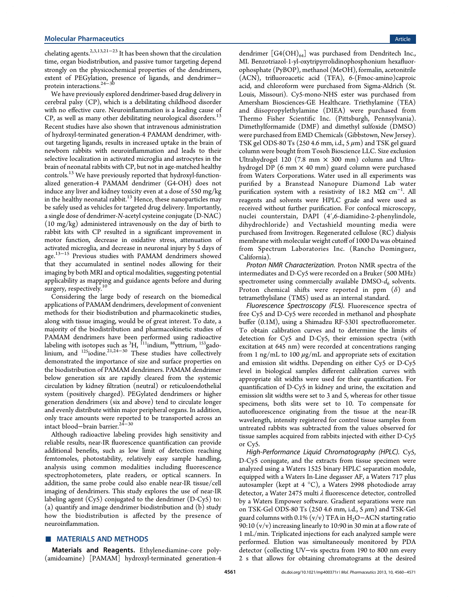chelating agents.<sup>2,3,13,21–23</sup> It has been shown that the circulation time, organ biodistribution, and passive tumor targeting depend strongly on the [physico](#page-10-0)[ch](#page-11-0)emical properties of the dendrimers, extent of PEGylation, presence of ligands, and dendrimer− protein interactions.24−<sup>30</sup>

We have previously explored dendrimer-based drug delivery in cerebral palsy (CP)[, whic](#page-11-0)h is a debilitating childhood disorder with no effective cure. Neuroinflammation is a leading cause of CP, as well as many other debilitating neurological disorders.<sup>13</sup> Recent studies have also shown that intravenous administration of hydroxyl-terminated generation-4 PAMAM dendrimer, wit[h](#page-10-0)out targeting ligands, results in increased uptake in the brain of newborn rabbits with neuroinflammation and leads to their selective localization in activated microglia and astrocytes in the brain of neonatal rabbits with CP, but not in age-matched healthy controls.<sup>13</sup> We have previously reported that hydroxyl-functionalized generation-4 PAMAM dendrimer (G4-OH) does not induce a[ny](#page-10-0) liver and kidney toxicity even at a dose of 550 mg/kg in the healthy neonatal rabbit.<sup>13</sup> Hence, these nanoparticles may be safely used as vehicles for targeted drug delivery. Importantly, a single dose of dendrimer-N-[ace](#page-10-0)tyl cysteine conjugate (D-NAC) (10 mg/kg) administered intravenously on the day of birth to rabbit kits with CP resulted in a significant improvement in motor function, decrease in oxidative stress, attenuation of activated microglia, and decrease in neuronal injury by 5 days of age.<sup>13−15</sup> Previous studies with PAMAM dendrimers showed that they accumulated in sentinel nodes allowing for their ima[ging b](#page-10-0)y both MRI and optical modalities, suggesting potential applicability as mapping and guidance agents before and during surgery, respectively.<sup>10</sup>

Considering the large body of research on the biomedical applications of PAM[AM](#page-10-0) dendrimers, development of convenient methods for their biodistribution and pharmacokinetic studies, along with tissue imaging, would be of great interest. To date, a majority of the biodistribution and pharmacokinetic studies of PAMAM dendrimers have been performed using radioactive labeling with isotopes such as  $^3\mathrm{H}$ ,  $^{111}$ indium,  $^{88}$ yttrium,  $^{153}$ gadolinium, and  $125$ iodine.<sup>21,24–30</sup> These studies have collectively demonstrated the importance of size and surface properties on the biodistribution of [PA](#page-10-0)[MAM](#page-11-0) dendrimers. PAMAM dendrimer below generation six are rapidly cleared from the systemic circulation by kidney filtration (neutral) or reticuloendothelial system (positively charged). PEGylated dendrimers or higher generation dendrimers (six and above) tend to circulate longer and evenly distribute within major peripheral organs. In addition, only trace amounts were reported to be transported across an intact blood−brain barrier.24−<sup>30</sup>

Although radioactive labeling provides high sensitivity and reliable results, near-IR flu[or](#page-11-0)e[sce](#page-11-0)nce quantification can provide additional benefits, such as low limit of detection reaching femtomoles, photostability, relatively easy sample handling, analysis using common modalities including fluorescence spectrophotometers, plate readers, or optical scanners. In addition, the same probe could also enable near-IR tissue/cell imaging of dendrimers. This study explores the use of near-IR labeling agent (Cy5) conjugated to the dendrimer (D-Cy5) to: (a) quantify and image dendrimer biodistribution and (b) study how the biodistribution is affected by the presence of neuroinflammation.

# ■ MATERIALS AND METHODS

Materials and Reagents. Ethylenediamine-core poly- (amidoamine) [PAMAM] hydroxyl-terminated generation-4 dendrimer  $[G4(OH)_{64}]$  was purchased from Dendritech Inc., MI. Benzotriazol-1-yl-oxytripyrrolidinophosphonium hexafluorophosphate (PyBOP), methanol (MeOH), formalin, acetonitrile (ACN), trifluoroacetic acid (TFA), 6-(Fmoc-amino)caproic acid, and chloroform were purchased from Sigma-Aldrich (St. Louis, Missouri). Cy5-mono-NHS ester was purchased from Amersham Biosciences-GE Healthcare. Triethylamine (TEA) and diisopropylethylamine (DIEA) were purchased from Thermo Fisher Scientific Inc. (Pittsburgh, Pennsylvania). Dimethylformamide (DMF) and dimethyl sulfoxide (DMSO) were purchased from EMD Chemicals (Gibbstown, New Jersey). TSK gel ODS-80 Ts (250 4.6 mm, i.d.,  $5 \mu$ m) and TSK gel guard column were bought from Tosoh Bioscience LLC. Size exclusion Ultrahydrogel 120 (7.8 mm  $\times$  300 mm) column and Ultrahydrogel DP (6 mm  $\times$  40 mm) guard column were purchased from Waters Corporations. Water used in all experiments was purified by a Branstead Nanopure Diamond Lab water purification system with a resistivity of 18.2 MΩ cm<sup>−</sup><sup>1</sup> . All reagents and solvents were HPLC grade and were used as received without further purification. For confocal microscopy, nuclei counterstain, DAPI (4′,6-diamidino-2-phenylindole, dihydrochloride) and Vectashield mounting media were purchased from Invitrogen. Regenerated cellulose (RC) dialysis membrane with molecular weight cutoff of 1000 Da was obtained from Spectrum Laboratories Inc. (Rancho Dominguez, California).

Proton NMR Characterization. Proton NMR spectra of the intermediates and D-Cy5 were recorded on a Bruker (500 MHz) spectrometer using commercially available  $DMSO-d<sub>6</sub>$  solvents. Proton chemical shifts were reported in ppm  $(\delta)$  and tetramethylsilane (TMS) used as an internal standard.

Fluorescence Spectroscopy (FLS). Fluorescence spectra of free Cy5 and D-Cy5 were recorded in methanol and phosphate buffer (0.1M), using a Shimadzu RF-5301 spectrofluorometer. To obtain calibration curves and to determine the limits of detection for Cy5 and D-Cy5, their emission spectra (with excitation at 645 nm) were recorded at concentrations ranging from 1 ng/mL to 100  $\mu$ g/mL and appropriate sets of excitation and emission slit widths. Depending on either Cy5 or D-Cy5 level in biological samples different calibration curves with appropriate slit widths were used for their quantification. For quantification of D-Cy5 in kidney and urine, the excitation and emission slit widths were set to 3 and 5, whereas for other tissue specimens, both slits were set to 10. To compensate for autofluorescence originating from the tissue at the near-IR wavelength, intensity registered for control tissue samples from untreated rabbits was subtracted from the values observed for tissue samples acquired from rabbits injected with either D-Cy5 or Cy5.

High-Performance Liquid Chromatography (HPLC). Cy5, D-Cy5 conjugate, and the extracts from tissue specimen were analyzed using a Waters 1525 binary HPLC separation module, equipped with a Waters In-Line degasser AF, a Waters 717 plus autosampler (kept at 4 °C), a Waters 2998 photodiode array detector, a Water 2475 multi λ fluorescence detector, controlled by a Waters Empower software. Gradient separations were run on TSK-Gel ODS-80 Ts (250 4.6 mm, i.d., 5  $\mu$ m) and TSK-Gel guard columns with 0.1% (v/v) TFA in H<sub>2</sub>O−ACN starting ratio 90:10 (v/v) increasing linearly to 10:90 in 30 min at a flow rate of 1 mL/min. Triplicated injections for each analyzed sample were performed. Elution was simultaneously monitored by PDA detector (collecting UV−vis spectra from 190 to 800 nm every 2 s that allows for obtaining chromatograms at the desired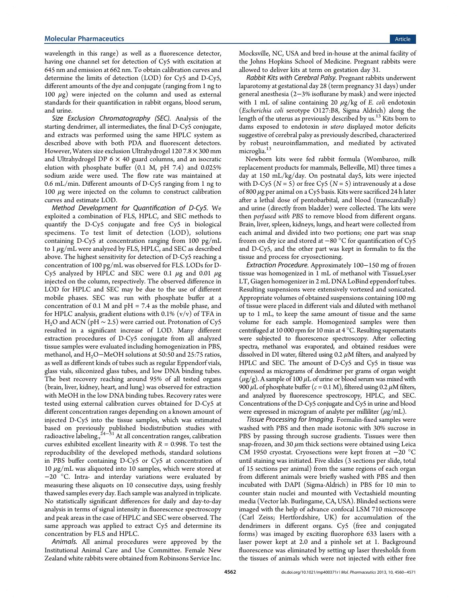wavelength in this range) as well as a fluorescence detector, having one channel set for detection of Cy5 with excitation at 645 nm and emission at 662 nm. To obtain calibration curves and determine the limits of detection (LOD) for Cy5 and D-Cy5, different amounts of the dye and conjugate (ranging from 1 ng to 100  $μ$ g) were injected on the column and used as external standards for their quantification in rabbit organs, blood serum, and urine.

Size Exclusion Chromatography (SEC). Analysis of the starting dendrimer, all intermediates, the final D-Cy5 conjugate, and extracts was performed using the same HPLC system as described above with both PDA and fluorescent detectors. However, Waters size exclusion Ultrahydrogel 120 7.8 × 300 mm and Ultrahydrogel DP  $6 \times 40$  guard columns, and an isocratic elution with phosphate buffer (0.1 M, pH 7.4) and 0.025% sodium azide were used. The flow rate was maintained at 0.6 mL/min. Different amounts of D-Cy5 ranging from 1 ng to 100  $\mu$ g were injected on the column to construct calibration curves and estimate LOD.

Method Development for Quantification of D-Cy5. We exploited a combination of FLS, HPLC, and SEC methods to quantify the D-Cy5 conjugate and free Cy5 in biological specimens. To test limit of detection (LOD), solutions containing D-Cy5 at concentration ranging from 100 pg/mL to  $1 \mu g/mL$  were analyzed by FLS, HPLC, and SEC as described above. The highest sensitivity for detection of D-Cy5 reaching a concentration of 100 pg/mL was observed for FLS. LODs for D-Cy5 analyzed by HPLC and SEC were 0.1  $\mu$ g and 0.01  $\mu$ g injected on the column, respectively. The observed difference in LOD for HPLC and SEC may be due to the use of different mobile phases. SEC was run with phosphate buffer at a concentration of 0.1 M and  $pH = 7.4$  as the mobile phase, and for HPLC analysis, gradient elutions with  $0.1\%$  (v/v) of TFA in H<sub>2</sub>O and ACN (pH  $\sim$  2.5) were carried out. Protonation of Cy5 resulted in a significant increase of LOD. Many different extraction procedures of D-Cy5 conjugate from all analyzed tissue samples were evaluated including homogenization in PBS, methanol, and H<sub>2</sub>O−MeOH solutions at 50:50 and 25:75 ratios, as well as different kinds of tubes such as regular Eppendorf vials, glass vials, siliconized glass tubes, and low DNA binding tubes. The best recovery reaching around 95% of all tested organs (brain, liver, kidney, heart, and lung) was observed for extraction with MeOH in the low DNA binding tubes. Recovery rates were tested using external calibration curves obtained for D-Cy5 at different concentration ranges depending on a known amount of injected D-Cy5 into the tissue samples, which was estimated based on previously published biodistribution studies with radioactive labeling.,<sup>24–31</sup> At all concentration ranges, calibration curves exhibited excellent linearity with  $R = 0.998$ . To test the reproducibility of t[he de](#page-11-0)veloped methods, standard solutions in PBS buffer containing D-Cy5 or Cy5 at concentration of 10  $\mu$ g/mL was aliquoted into 10 samples, which were stored at −20 °C. Intra- and interday variations were evaluated by measuring these aliquots on 10 consecutive days, using freshly thawed samples every day. Each sample was analyzed in triplicate. No statistically significant differences for daily and day-to-day analysis in terms of signal intensity in fluorescence spectroscopy and peak areas in the case of HPLC and SEC were observed. The same approach was applied to extract Cy5 and determine its concentration by FLS and HPLC.

Animals. All animal procedures were approved by the Institutional Animal Care and Use Committee. Female New Zealand white rabbits were obtained from Robinsons Service Inc.

Mocksville, NC, USA and bred in-house at the animal facility of the Johns Hopkins School of Medicine. Pregnant rabbits were allowed to deliver kits at term on gestation day 31.

Rabbit Kits with Cerebral Palsy. Pregnant rabbits underwent laparotomy at gestational day 28 (term pregnancy 31 days) under general anesthesia (2−3% isoflurane by mask) and were injected with 1 mL of saline containing 20  $\mu$ g/kg of *E. coli* endotoxin (Escherichia coli serotype O127:B8, Sigma Aldrich) along the length of the uterus as previously described by us.<sup>13</sup> Kits born to dams exposed to endotoxin in utero displayed motor deficits suggestive of cerebral palsy as previously describe[d, c](#page-10-0)haracterized by robust neuroinflammation, and mediated by activated microglia.<sup>13</sup>

Newborn kits were fed rabbit formula (Wombaroo, milk replacem[ent](#page-10-0) products for mammals, Belleville, MI) three times a day at 150 mL/kg/day. On postnatal day5, kits were injected with D-Cy5 ( $N = 5$ ) or free Cy5 ( $N = 5$ ) intravenously at a dose of 800  $\mu$ g per animal on a Cy5 basis. Kits were sacrificed 24 h later after a lethal dose of pentobarbital, and blood (transcardially) and urine (directly from bladder) were collected. The kits were then perfused with PBS to remove blood from different organs. Brain, liver, spleen, kidneys, lungs, and heart were collected from each animal and divided into two portions; one part was snap frozen on dry ice and stored at −80 °C for quantification of Cy5 and D-Cy5, and the other part was kept in formalin to fix the tissue and process for cryosectioning.

Extraction Procedure. Approximately 100−150 mg of frozen tissue was homogenized in 1 mL of methanol with TissueLyser LT, Giagen homogenizer in 2 mL DNA LoBind eppendorf tubes. Resulting suspensions were extensively vortexed and sonicated. Appropriate volumes of obtained suspensions containing 100 mg of tissue were placed in different vials and diluted with methanol up to 1 mL, to keep the same amount of tissue and the same volume for each sample. Homogenized samples were then centrifuged at 10 000 rpm for 10 min at 4 °C. Resulting supernatants were subjected to fluorescence spectroscopy. After collecting spectra, methanol was evaporated, and obtained residues were dissolved in DI water, filtered using 0.2  $\mu$ M filters, and analyzed by HPLC and SEC. The amount of D-Cy5 and Cy5 in tissue was expressed as micrograms of dendrimer per grams of organ weight  $(\mu$ g/g). A sample of 100  $\mu$ L of urine or blood serum was mixed with 900  $\mu$ L of phosphate buffer ( $c = 0.1$  M), filtered using 0.2  $\mu$ M filters, and analyzed by fluorescence spectroscopy, HPLC, and SEC. Concentrations of the D-Cy5 conjugate and Cy5 in urine and blood were expressed in microgram of analyte per milliliter  $(\mu g/mL)$ .

Tissue Processing for Imaging. Formalin-fixed samples were washed with PBS and then made isotonic with 30% sucrose in PBS by passing through sucrose gradients. Tissues were then snap-frozen, and 30  $\mu$ m thick sections were obtained using Leica CM 1950 cryostat. Cryosections were kept frozen at −20 °C until staining was initiated. Five slides (3 sections per slide, total of 15 sections per animal) from the same regions of each organ from different animals were briefly washed with PBS and then incubated with DAPI (Sigma-Aldrich) in PBS for 10 min to counter stain nuclei and mounted with Vectashield mounting media (Vector lab. Burlingame, CA, USA). Blinded sections were imaged with the help of advance confocal LSM 710 microscope (Carl Zeiss; Hertfordshire, UK) for accumulation of the dendrimers in different organs. Cy5 (free and conjugated forms) was imaged by exciting fluorophore 633 lasers with a laser power kept at 2.0 and a pinhole set at 1. Background fluorescence was eliminated by setting up laser thresholds from the tissues of animals which were not injected with either free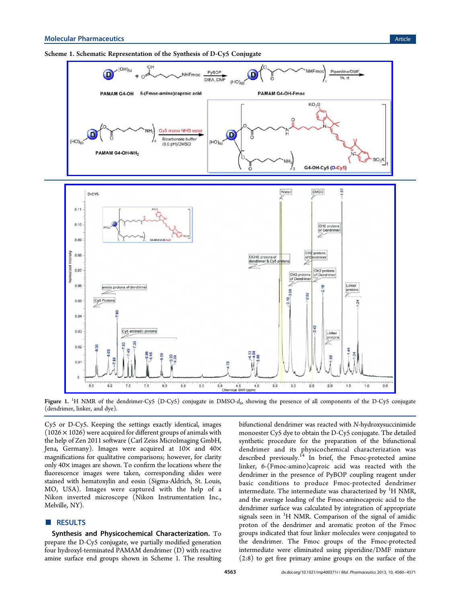<span id="page-3-0"></span>



Figure 1.  $^1$ H NMR of the dendrimer-Cy5 (D-Cy5) conjugate in DMSO- $d_\omega$  showing the presence of all components of the D-Cy5 conjugate (dendrimer, linker, and dye).

Cy5 or D-Cy5. Keeping the settings exactly identical, images  $(1026 \times 1026)$  were acquired for different groups of animals with the help of Zen 2011 software (Carl Zeiss MicroImaging GmbH, Jena, Germany). Images were acquired at  $10\times$  and  $40\times$ magnifications for qualitative comparisons; however, for clarity only 40× images are shown. To confirm the locations where the fluorescence images were taken, corresponding slides were stained with hematoxylin and eosin (Sigma-Aldrich, St. Louis, MO, USA). Images were captured with the help of a Nikon inverted microscope (Nikon Instrumentation Inc., Melville, NY).

# ■ RESULTS

Synthesis and Physicochemical Characterization. To prepare the D-Cy5 conjugate, we partially modified generation four hydroxyl-terminated PAMAM dendrimer (D) with reactive amine surface end groups shown in Scheme 1. The resulting bifunctional dendrimer was reacted with N-hydroxysuccinimide monoester Cy5 dye to obtain the D-Cy5 conjugate. The detailed synthetic procedure for the preparation of the bifunctional dendrimer and its physicochemical characterization was described previously.<sup>14</sup> In brief, the Fmoc-protected amine linker, 6-(Fmoc-amino)caproic acid was reacted with the dendrimer in the pr[ese](#page-10-0)nce of PyBOP coupling reagent under basic conditions to produce Fmoc-protected dendrimer intermediate. The intermediate was characterized by  ${}^{1}{\rm H}$  NMR, and the average loading of the Fmoc-aminocaproic acid to the dendrimer surface was calculated by integration of appropriate signals seen in <sup>1</sup>H NMR. Comparison of the signal of amidic proton of the dendrimer and aromatic proton of the Fmoc groups indicated that four linker molecules were conjugated to the dendrimer. The Fmoc groups of the Fmoc-protected intermediate were eliminated using piperidine/DMF mixture (2:8) to get free primary amine groups on the surface of the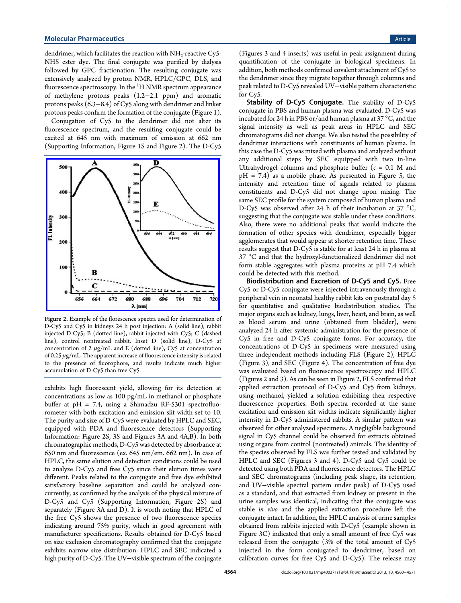dendrimer, which facilitates the reaction with  $NH_2$ -reactive Cy5-NHS ester dye. The final conjugate was purified by dialysis followed by GPC fractionation. The resulting conjugate was extensively analyzed by proton NMR, HPLC/GPC, DLS, and fluorescence spectroscopy. In the <sup>1</sup>H NMR spectrum appearance of methylene protons peaks (1.2−2.1 ppm) and aromatic protons peaks (6.3−8.4) of Cy5 along with dendrimer and linker protons peaks confirm the formation of the conjugate (Figure 1).

Conjugation of Cy5 to the dendrimer did not alter its fluorescence spectrum, and the resulting conjugate could [b](#page-3-0)e excited at 645 nm with maximum of emission at 662 nm (Supporting Information, Figure 1S and Figure 2). The D-Cy5



Figure 2. Example of the florescence spectra used for determination of [D-Cy5 and Cy5 in kidneys 24 h post injection: A \(solid line\), rabb](http://pubs.acs.org/action/showImage?doi=10.1021/mp400371r&iName=master.img-003.jpg&w=229&h=202)it injected D-Cy5; B (dotted line), rabbit injected with Cy5; C (dashed line), control nontreated rabbit. Inset D (solid line), D-Cy5 at concentration of 2  $\mu$ g/mL and E (dotted line), Cy5 at concentration of 0.25  $\mu$ g/mL. The apparent increase of fluorescence intensity is related to the presence of fluorophore, and results indicate much higher accumulation of D-Cy5 than free Cy5.

exhibits high fluorescent yield, allowing for its detection at concentrations as low as 100 pg/mL in methanol or phosphate buffer at pH = 7.4, using a Shimadzu RF-5301 spectrofluorometer with both excitation and emission slit width set to 10. The purity and size of D-Cy5 were evaluated by HPLC and SEC, equipped with PDA and fluorescence detectors (Supporting Information: Figure 2S, 3S and Figures 3A and 4A,B). In both chromatographic methods, D-Cy5 was detected by a[bsorbance at](#page-10-0) 650 nm and fluorescence (ex. 645 nm/e[m](#page-5-0). 662 [nm](#page-6-0)). In case of [HPLC,](#page-10-0) [the](#page-10-0) [same](#page-10-0) [elution](#page-10-0) [and](#page-10-0) detection conditions could be used to analyze D-Cy5 and free Cy5 since their elution times were different. Peaks related to the conjugate and free dye exhibited satisfactory baseline separation and could be analyzed concurrently, as confirmed by the analysis of the physical mixture of D-Cy5 and Cy5 (Supporting Information, Figure 2S) and separately (Figure 3A and D). It is worth noting that HPLC of the free Cy5 shows the presence of two fluorescence species indicating around 7[5%](#page-10-0) [purity,](#page-10-0) [which](#page-10-0) [in](#page-10-0) [good](#page-10-0) [agreemen](#page-10-0)t with manufacturer speci[fi](#page-5-0)cations. Results obtained for D-Cy5 based on size exclusion chromatography confirmed that the conjugate exhibits narrow size distribution. HPLC and SEC indicated a high purity of D-Cy5. The UV−visible spectrum of the conjugate

(Figures 3 and 4 inserts) was useful in peak assignment during quantification of the conjugate in biological specimens. In addition, [b](#page-5-0)oth [me](#page-6-0)thods confirmed covalent attachment of Cy5 to the dendrimer since they migrate together through columns and peak related to D-Cy5 revealed UV−visible pattern characteristic for Cy5.

Stability of D-Cy5 Conjugate. The stability of D-Cy5 conjugate in PBS and human plasma was evaluated. D-Cy5 was incubated for 24 h in PBS or/and human plasma at 37 °C, and the signal intensity as well as peak areas in HPLC and SEC chromatograms did not change. We also tested the possibility of dendrimer interactions with constituents of human plasma. In this case the D-Cy5 was mixed with plasma and analyzed without any additional steps by SEC equipped with two in-line Ultrahydrogel columns and phosphate buffer  $(c = 0.1 M$  and  $pH = 7.4$ ) as a mobile phase. As presented in Figure 5, the intensity and retention time of signals related to plasma constituents and D-Cy5 did not change upon mixing[.](#page-7-0) The same SEC profile for the system composed of human plasma and D-Cy5 was observed after 24 h of their incubation at 37 °C, suggesting that the conjugate was stable under these conditions. Also, there were no additional peaks that would indicate the formation of other species with dendrimer, especially bigger agglomerates that would appear at shorter retention time. These results suggest that D-Cy5 is stable for at least 24 h in plasma at 37 °C and that the hydroxyl-functionalized dendrimer did not form stable aggregates with plasma proteins at pH 7.4 which could be detected with this method.

Biodistribution and Excretion of D-Cy5 and Cy5. Free Cy5 or D-Cy5 conjugate were injected intravenously through a peripheral vein in neonatal healthy rabbit kits on postnatal day 5 for quantitative and qualitative biodistribution studies. The major organs such as kidney, lungs, liver, heart, and brain, as well as blood serum and urine (obtained from bladder), were analyzed 24 h after systemic administration for the presence of Cy5 in free and D-Cy5 conjugate forms. For accuracy, the concentrations of D-Cy5 in specimens were measured using three independent methods including FLS (Figure 2), HPLC (Figure 3), and SEC (Figure 4). The concentration of free dye was evaluated based on fluorescence spectroscopy and HPLC (Figures [2](#page-5-0) and 3). As can be s[ee](#page-6-0)n in Figure 2, FLS confirmed that applied extraction protocol of D-Cy5 and Cy5 from kidneys, using methan[ol,](#page-5-0) yielded a solution exhibiting their respective fluorescence properties. Both spectra recorded at the same excitation and emission slit widths indicate significantly higher intensity in D-Cy5 administered rabbits. A similar pattern was observed for other analyzed specimens. A negligible background signal in Cy5 channel could be observed for extracts obtained using organs from control (nontreated) animals. The identity of the species observed by FLS was further tested and validated by HPLC and SEC (Figures 3 and 4). D-Cy5 and Cy5 could be detected using both PDA and fluorescence detectors. The HPLC and SEC chromatograms [\(i](#page-5-0)nclu[din](#page-6-0)g peak shape, its retention, and UV−visible spectral pattern under peak) of D-Cy5 used as a standard, and that extracted from kidney or present in the urine samples was identical, indicating that the conjugate was stable in vivo and the applied extraction procedure left the conjugate intact. In addition, the HPLC analysis of urine samples obtained from rabbits injected with D-Cy5 (example shown in Figure 3C) indicated that only a small amount of free Cy5 was released from the conjugate (3% of the total amount of Cy5 injecte[d](#page-5-0) in the form conjugated to dendrimer, based on calibration curves for free Cy5 and D-Cy5). The release may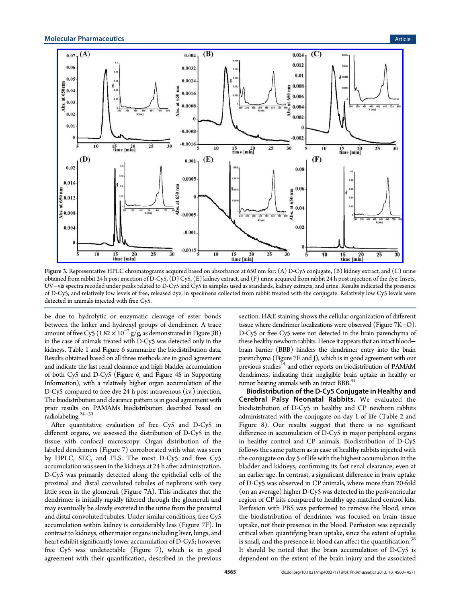<span id="page-5-0"></span>

Figure 3. [Representative HPLC chromatograms acquired based on absorbance at 650 nm for: \(A\) D-Cy5 conjugate, \(B\) kidney extract, and \(C\)](http://pubs.acs.org/action/showImage?doi=10.1021/mp400371r&iName=master.img-004.jpg&w=465&h=285) urine obtained from rabbit 24 h post injection of D-Cy5, (D) Cy5, (E) kidney extract, and (F) urine acquired from rabbit 24 h post injection of the dye. Insets, UV−vis spectra recoded under peaks related to D-Cy5 and Cy5 in samples used as standards, kidney extracts, and urine. Results indicated the presence of D-Cy5, and relatively low levels of free, released dye, in specimens collected from rabbit treated with the conjugate. Relatively low Cy5 levels were detected in animals injected with free Cy5.

be due to hydrolytic or enzymatic cleavage of ester bonds between the linker and hydroxyl groups of dendrimer. A trace amount of free Cy5 ( $1.82 \times 10^{-7}$  g/g, as demonstrated in Figure 3B) in the case of animals treated with D-Cy5 was detected only in the kidneys. Table 1 and Figure 6 summarize the biodistribution data. Results obtained based on all three methods are in good agreement and indicate th[e f](#page-7-0)ast renal cle[ar](#page-8-0)ance and high bladder accumulation of both Cy5 and D-Cy5 (Figure 6, and Figure 4S in Supporting Information), with a relatively higher organ accumulation of the D-Cy5 compared to free dye 24 h [p](#page-8-0)ost in[travenous \(i.v.\) injection.](#page-10-0) [The biodistr](#page-10-0)ibution and clearance pattern is in good agreement with prior results on PAMAMs biodistribution described based on radiolabeling.24<sup>−</sup><sup>30</sup>

After quantitative evaluation of free Cy5 and D-Cy5 in different or[gans,](#page-11-0) we assessed the distribution of D-Cy5 in the tissue with confocal microscopy. Organ distribution of the labeled dendrimers (Figure 7) corroborated with what was seen by HPLC, SEC, and FLS. The most D-Cy5 and free Cy5 accumulation was seen in th[e k](#page-8-0)idneys at 24 h after administration. D-Cy5 was primarily detected along the epithelial cells of the proximal and distal convoluted tubules of nephrons with very little seen in the glomeruli (Figure 7A). This indicates that the dendrimer is initially rapidly filtered through the glomeruli and may eventually be slowly excreted i[n t](#page-8-0)he urine from the proximal and distal convoluted tubules. Under similar conditions, free Cy5 accumulation within kidney is considerably less (Figure 7F). In contrast to kidneys, other major organs including liver, lungs, and heart exhibit significantly lower accumulation of D-Cy5; h[o](#page-8-0)wever free Cy5 was undetectable (Figure 7), which is in good agreement with their quantification, described in the previous

section. H&E staining shows the cellular organization of different tissue where dendrimer localizations were observed (Figure 7K−O). D-Cy5 or free Cy5 were not detected in the brain parenchyma of these healthy newborn rabbits. Hence it appears that an intac[t b](#page-8-0)lood− brain barrier (BBB) hinders the dendrimer entry into the brain parenchyma (Figure 7E and J), which is in good agreement with our previous studies<sup>14</sup> and other reports on biodistribution of PAMAM dendrimers, indicati[ng](#page-8-0) their negligible brain uptake in healthy or tumor bearing [anim](#page-10-0)als with an intact  $BBB$ <sup>31</sup>

Biodistribution of the D-Cy5 Conjugate in Healthy and Cerebral Palsy Neonatal Rabbit[s.](#page-11-0) We evaluated the biodistribution of D-Cy5 in healthy and CP newborn rabbits administrated with the conjugate on day 1 of life (Table 2 and Figure 8). Our results suggest that there is no significant difference in accumulation of D-Cy5 in major peripheral [org](#page-8-0)ans in healt[hy](#page-9-0) control and CP animals. Biodistribution of D-Cy5 follows the same pattern as in case of healthy rabbits injected with the conjugate on day 5 of life with the highest accumulation in the bladder and kidneys, confirming its fast renal clearance, even at an earlier age. In contrast, a significant difference in brain uptake of D-Cy5 was observed in CP animals, where more than 20-fold (on an average) higher D-Cy5 was detected in the periventricular region of CP kits compared to healthy age-matched control kits. Perfusion with PBS was performed to remove the blood, since the biodistribution of dendrimer was focused on brain tissue uptake, not their presence in the blood. Perfusion was especially critical when quantifying brain uptake, since the extent of uptake is small, and the presence in blood can affect the quantification.<sup>38</sup> It should be noted that the brain accumulation of D-Cy5 is dependent on the extent of the brain injury and the associat[ed](#page-11-0)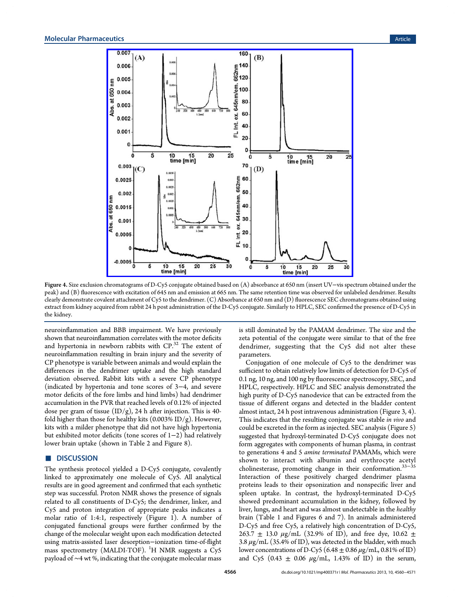<span id="page-6-0"></span>

Figure 4. Size exclusion c[hromatograms of D-Cy5 conjugate obtained based on \(A\) absorbance at 650 nm \(insert UV](http://pubs.acs.org/action/showImage?doi=10.1021/mp400371r&iName=master.img-005.jpg&w=329&h=304)−vis spectrum obtained under the peak) and (B) fluorescence with excitation of 645 nm and emission at 665 nm. The same retention time was observed for unlabeled dendrimer. Results clearly demonstrate covalent attachment of Cy5 to the dendrimer. (C) Absorbance at 650 nm and (D) fluorescence SEC chromatograms obtained using extract from kidney acquired from rabbit 24 h post administration of the D-Cy5 conjugate. Similarly to HPLC, SEC confirmed the presence of D-Cy5 in the kidney.

neuroinflammation and BBB impairment. We have previously shown that neuroinflammation correlates with the motor deficits and hypertonia in newborn rabbits with CP.<sup>32</sup> The extent of neuroinflammation resulting in brain injury and the severity of CP phenotype is variable between animals and [wo](#page-11-0)uld explain the differences in the dendrimer uptake and the high standard deviation observed. Rabbit kits with a severe CP phenotype (indicated by hypertonia and tone scores of 3−4, and severe motor deficits of the fore limbs and hind limbs) had dendrimer accumulation in the PVR that reached levels of 0.12% of injected dose per gram of tissue  $(ID/g)$ , 24 h after injection. This is 40fold higher than those for healthy kits  $(0.003\%$  ID/g). However, kits with a milder phenotype that did not have high hypertonia but exhibited motor deficits (tone scores of 1−2) had relatively lower brain uptake (shown in Table 2 and Figure 8).

# ■ DISCUSSION

The synthesis protocol yielded a D[-C](#page-8-0)y5 conjuga[te](#page-9-0), covalently linked to approximately one molecule of Cy5. All analytical results are in good agreement and confirmed that each synthetic step was successful. Proton NMR shows the presence of signals related to all constituents of D-Cy5; the dendrimer, linker, and Cy5 and proton integration of appropriate peaks indicates a molar ratio of 1:4:1, respectively (Figure 1). A number of conjugated functional groups were further confirmed by the change of the molecular weight upon each m[od](#page-3-0)ification detected using matrix-assisted laser desorption−ionization time-of-flight mass spectrometry (MALDI-TOF). <sup>1</sup>H NMR suggests a Cy5 payload of ∼4 wt %, indicating that the conjugate molecular mass

is still dominated by the PAMAM dendrimer. The size and the zeta potential of the conjugate were similar to that of the free dendrimer, suggesting that the Cy5 did not alter these parameters.

Conjugation of one molecule of Cy5 to the dendrimer was sufficient to obtain relatively low limits of detection for D-Cy5 of 0.1 ng, 10 ng, and 100 ng by fluorescence spectroscopy, SEC, and HPLC, respectively. HPLC and SEC analysis demonstrated the high purity of D-Cy5 nanodevice that can be extracted from the tissue of different organs and detected in the bladder content almost intact, 24 h post intravenous administration (Figure 3, 4). This indicates that the resulting conjugate was stable in vivo and could be excreted in the form as injected. SEC analysis (Fig[ure](#page-5-0) 5) suggested that hydroxyl-terminated D-Cy5 conjugate does not form aggregates with components of human plasma, in contr[as](#page-7-0)t to generations 4 and 5 amine terminated PAMAMs, which were shown to interact with albumin and erythrocyte acetyl cholinesterase, promoting change in their conformation.33−<sup>35</sup> Interaction of these positively charged dendrimer plasma proteins leads to their opsonization and nonspecific live[r and](#page-11-0) spleen uptake. In contrast, the hydroxyl-terminated D-Cy5 showed predominant accumulation in the kidney, followed by liver, lungs, and heart and was almost undetectable in the healthy brain (Table 1 and Figures 6 and 7). In animals administered D-Cy5 and free Cy5, a relatively high concentration of D-Cy5, 263.7  $\pm$  13.0  $\mu$ g/mL (32.9[%](#page-8-0) of [ID](#page-8-0)), and free dye, 10.62  $\pm$ 3.8  $\mu$ g/mL (3[5.](#page-7-0)4% of ID), was detected in the bladder, with much lower concentrations of D-Cy5 (6.48  $\pm$  0.86  $\mu$ g/mL, 0.81% of ID) and Cy5 (0.43  $\pm$  0.06  $\mu$ g/mL, 1.43% of ID) in the serum,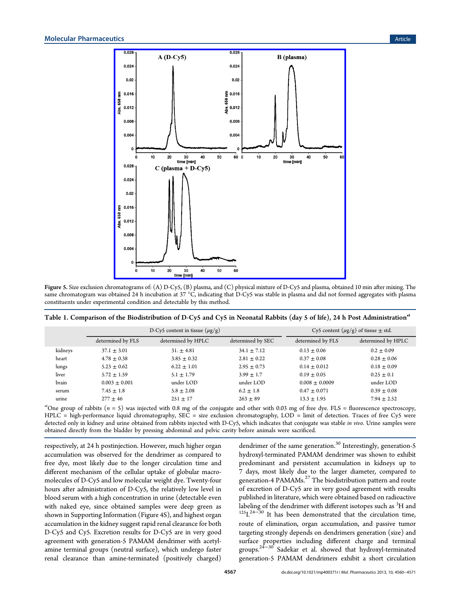<span id="page-7-0"></span>

Figure 5. Size exclusion chr[omatograms of: \(A\) D-Cy5, \(B\) plasma, and \(C\) physical mixture of D-Cy5 and plasma, obtai](http://pubs.acs.org/action/showImage?doi=10.1021/mp400371r&iName=master.img-006.png&w=309&h=307)ned 10 min after mixing. The same chromatogram was obtained 24 h incubation at 37 °C, indicating that D-Cy5 was stable in plasma and did not formed aggregates with plasma constituents under experimental condition and detectable by this method.

|  |  |  | Table 1. Comparison of the Biodistribution of D-Cy5 and Cy5 in Neonatal Rabbits (day 5 of life), 24 h Post Administration <sup>a</sup> |
|--|--|--|----------------------------------------------------------------------------------------------------------------------------------------|
|  |  |  |                                                                                                                                        |
|  |  |  |                                                                                                                                        |

|         | D-Cy5 content in tissue $(\mu g/g)$ |                    |                   | Cy5 content $(\mu g/g)$ of tissue $\pm$ std. |                    |
|---------|-------------------------------------|--------------------|-------------------|----------------------------------------------|--------------------|
|         | determined by FLS                   | determined by HPLC | determined by SEC | determined by FLS                            | determined by HPLC |
| kidneys | $37.1 \pm 3.01$                     | $31. \pm 4.81$     | $34.1 \pm 7.12$   | $0.13 \pm 0.06$                              | $0.2 + 0.09$       |
| heart   | $4.78 \pm 0.38$                     | $3.85 \pm 0.32$    | $2.81 \pm 0.22$   | $0.37 + 0.08$                                | $0.28 + 0.06$      |
| lungs   | $5.23 \pm 0.62$                     | $6.22 \pm 1.01$    | $2.95 \pm 0.73$   | $0.14 \pm 0.012$                             | $0.18 \pm 0.09$    |
| liver   | $5.72 \pm 1.59$                     | $5.1 \pm 1.79$     | $3.99 + 1.7$      | $0.19 + 0.05$                                | $0.25 \pm 0.1$     |
| brain   | $0.003 \pm 0.001$                   | under LOD          | under LOD         | $0.008 \pm 0.0009$                           | under LOD          |
| serum   | $7.45 \pm 1.8$                      | $5.8 \pm 2.08$     | $6.2 \pm 1.8$     | $0.47 \pm 0.071$                             | $0.39 \pm 0.08$    |
| urine   | $277 + 46$                          | $251 \pm 17$       | $263 \pm 89$      | $13.3 \pm 1.95$                              | $7.94 \pm 2.52$    |
|         |                                     |                    |                   |                                              |                    |

"One group of rabbits  $(n = 5)$  was injected with 0.8 mg of the conjugate and other with 0.03 mg of free dye. FLS = fluorescence spectroscopy, HPLC = high-performance liquid chromatography, SEC = size exclusion chromatography, LOD = limit of detection. Traces of free Cy5 were detected only in kidney and urine obtained from rabbits injected with D-Cy5, which indicates that conjugate was stable in vivo. Urine samples were obtained directly from the bladder by pressing abdominal and pelvic cavity before animals were sacrificed.

respectively, at 24 h postinjection. However, much higher organ accumulation was observed for the dendrimer as compared to free dye, most likely due to the longer circulation time and different mechanism of the cellular uptake of globular macromolecules of D-Cy5 and low molecular weight dye. Twenty-four hours after administration of D-Cy5, the relatively low level in blood serum with a high concentration in urine (detectable even with naked eye, since obtained samples were deep green as shown in Supporting Information (Figure 4S), and highest organ accumulation in the kidney suggest rapid renal clearance for both D-Cy5 a[nd Cy5. Excretion result](#page-10-0)s for D-Cy5 are in very good agreement with generation-5 PAMAM dendrimer with acetylamine terminal groups (neutral surface), which undergo faster renal clearance than amine-terminated (positively charged) dendrimer of the same generation.<sup>30</sup> Interestingly, generation-5 hydroxyl-terminated PAMAM dendrimer was shown to exhibit predominant and persistent acc[um](#page-11-0)ulation in kidneys up to 7 days, most likely due to the larger diameter, compared to generation-4 PAMAMs.<sup>27</sup> The biodistribution pattern and route of excretion of D-Cy5 are in very good agreement with results published in literature, [wh](#page-11-0)ich were obtained based on radioactive labeling of the dendrimer with different isotopes such as  ${}^{3}$ H and  $^{125}L^{24-30}$  It has been demonstrated that the circulation time, route of elimination, organ accumulation, and passive tumor targ[eting](#page-11-0) strongly depends on dendrimers generation (size) and surface properties including different charge and terminal groups.<sup>24–30</sup> Sadekar et al. showed that hydroxyl-terminated generation-5 PAMAM dendrimers exhibit a short circulation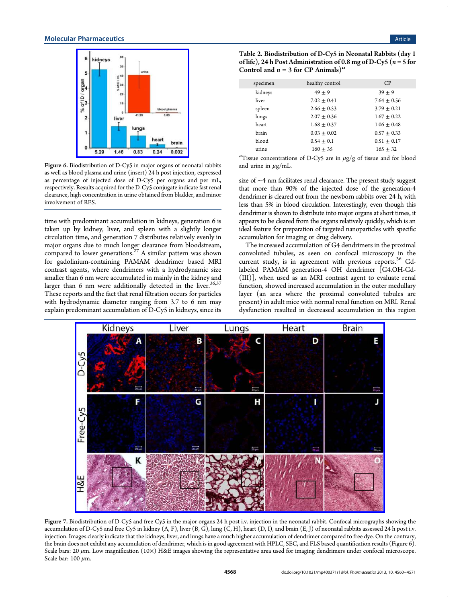<span id="page-8-0"></span>

Figure 6. Bi[odistribution of D-Cy5 in major organs of ne](http://pubs.acs.org/action/showImage?doi=10.1021/mp400371r&iName=master.img-007.jpg&w=148&h=142)onatal rabbits as well as blood plasma and urine (insert) 24 h post injection, expressed as percentage of injected dose of D-Cy5 per organs and per mL, respectively. Results acquired for the D-Cy5 conjugate indicate fast renal clearance, high concentration in urine obtained from bladder, and minor involvement of RES.

time with predominant accumulation in kidneys, generation 6 is taken up by kidney, liver, and spleen with a slightly longer circulation time, and generation 7 distributes relatively evenly in major organs due to much longer clearance from bloodstream, compared to lower generations.<sup>27</sup> A similar pattern was shown for gadolinium-containing PAMAM dendrimer based MRI contrast agents, where dendri[mer](#page-11-0)s with a hydrodynamic size smaller than 6 nm were accumulated in mainly in the kidney and larger than 6 nm were additionally detected in the liver.<sup>36,37</sup> These reports and the fact that renal filtration occurs for particles with hydrodynamic diameter ranging from 3.7 to 6 nm [may](#page-11-0) explain predominant accumulation of D-Cy5 in kidneys, since its

Table 2. Biodistribution of D-Cy5 in Neonatal Rabbits (day 1 of life), 24 h Post Administration of 0.8 mg of D-Cy5 ( $n = 5$  for Control and  $n = 3$  for CP Animals)<sup>a</sup>

| specimen | healthy control | CP              |
|----------|-----------------|-----------------|
| kidneys  | $49 + 9$        | $39 + 9$        |
| liver    | $7.02 \pm 0.41$ | $7.64 + 0.56$   |
| spleen   | $2.66 \pm 0.53$ | $3.79 + 0.21$   |
| lungs    | $2.07 + 0.36$   | $1.67 \pm 0.22$ |
| heart    | $1.68 \pm 0.37$ | $1.06 + 0.48$   |
| brain    | $0.03 + 0.02$   | $0.57 + 0.33$   |
| blood    | $0.54 \pm 0.1$  | $0.51 \pm 0.17$ |
| urine    | $160 \pm 35$    | $165 + 32$      |
|          |                 |                 |

<sup>a</sup>Tissue concentrations of D-Cy5 are in  $\mu$ g/g of tissue and for blood and urine in  $\mu$ g/mL.

size of ∼4 nm facilitates renal clearance. The present study suggest that more than 90% of the injected dose of the generation-4 dendrimer is cleared out from the newborn rabbits over 24 h, with less than 5% in blood circulation. Interestingly, even though this dendrimer is shown to distribute into major organs at short times, it appears to be cleared from the organs relatively quickly, which is an ideal feature for preparation of targeted nanoparticles with specific accumulation for imaging or drug delivery.

The increased accumulation of G4 dendrimers in the proximal convoluted tubules, as seen on confocal microscopy in the current study, is in agreement with previous reports.<sup>36</sup> Gdlabeled PAMAM generation-4 OH dendrimer [G4.OH-Gd- (III)], when used as an MRI contrast agent to evaluat[e](#page-11-0) renal function, showed increased accumulation in the outer medullary layer (an area where the proximal convoluted tubules are present) in adult mice with normal renal function on MRI. Renal dysfunction resulted in decreased accumulation in this region



Figure 7. Bi[odistribution of D-Cy5 and free Cy5 in the major organs 24 h post i.v. injection in the neonatal rabbit. Confocal micrographs](http://pubs.acs.org/action/showImage?doi=10.1021/mp400371r&iName=master.img-008.jpg&w=415&h=253) showing the accumulation of D-Cy5 and free Cy5 in kidney  $(A, F)$ , liver  $(B, G)$ , lung  $(C, H)$ , heart  $(D, I)$ , and brain  $(E, J)$  of neonatal rabbits assessed 24 h post i.v. injection. Images clearly indicate that the kidneys, liver, and lungs have a much higher accumulation of dendrimer compared to free dye. On the contrary, the brain does not exhibit any accumulation of dendrimer, which is in good agreement with HPLC, SEC, and FLS based quantification results (Figure 6). Scale bars: 20  $\mu$ m. Low magnification (10 $\times$ ) H&E images showing the representative area used for imaging dendrimers under confocal microscope. Scale bar:  $100 \ \mu m$ .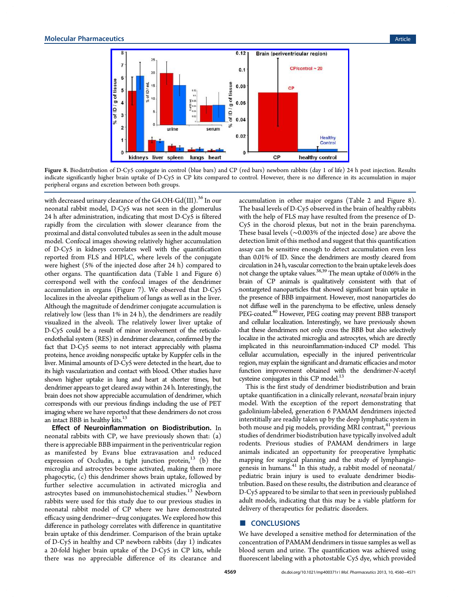<span id="page-9-0"></span>

Figure 8. Biodistribution [of D-Cy5 conjugate in control \(blue bars\) and CP \(red bars\) newborn rabbits \(day 1 of life\) 2](http://pubs.acs.org/action/showImage?doi=10.1021/mp400371r&iName=master.img-009.jpg&w=318&h=148)4 h post injection. Results indicate significantly higher brain uptake of D-Cy5 in CP kits compared to control. However, there is no difference in its accumulation in major peripheral organs and excretion between both groups.

with decreased urinary clearance of the G4.OH-Gd(III).<sup>36</sup> In our neonatal rabbit model, D-Cy5 was not seen in the glomerulus 24 h after administration, indicating that most D-Cy5 i[s](#page-11-0) filtered rapidly from the circulation with slower clearance from the proximal and distal convoluted tubules as seen in the adult mouse model. Confocal images showing relatively higher accumulation of D-Cy5 in kidneys correlates well with the quantification reported from FLS and HPLC, where levels of the conjugate were highest (5% of the injected dose after 24 h) compared to other organs. The quantification data (Table 1 and Figure 6) correspond well with the confocal images of the dendrimer accumulation in organs (Figure 7). We obse[rv](#page-7-0)ed that D-C[y5](#page-8-0) localizes in the alveolar epithelium of lungs as well as in the liver. Although the magnitude of dendr[im](#page-8-0)er conjugate accumulation is relatively low (less than 1% in 24 h), the dendrimers are readily visualized in the alveoli. The relatively lower liver uptake of D-Cy5 could be a result of minor involvement of the reticuloendothelial system (RES) in dendrimer clearance, confirmed by the fact that D-Cy5 seems to not interact appreciably with plasma proteins, hence avoiding nonspecific uptake by Kuppfer cells in the liver. Minimal amounts of D-Cy5 were detected in the heart, due to its high vascularization and contact with blood. Other studies have shown higher uptake in lung and heart at shorter times, but dendrimer appears to get cleared away within 24 h. Interestingly, the brain does not show appreciable accumulation of dendrimer, which corresponds with our previous findings including the use of PET imaging where we have reported that these dendrimers do not cross an intact BBB in healthy kits.<sup>13</sup>

Effect of Neuroinflammation on Biodistribution. In neonatal rabbits with CP, [we](#page-10-0) have previously shown that: (a) there is appreciable BBB impairment in the periventricular region as manifested by Evans blue extravasation and reduced expression of Occludin, a tight junction protein,  $^{13}$  (b) the microglia and astrocytes become activated, making them more phagocytic, (c) this dendrimer shows brain uptake, [fol](#page-10-0)lowed by further selective accumulation in activated microglia and astrocytes based on immunohistochemical studies.<sup>13</sup> Newborn rabbits were used for this study due to our previous studies in neonatal rabbit model of CP where we have d[em](#page-10-0)onstrated efficacy using dendrimer−drug conjugates. We explored how this difference in pathology correlates with difference in quantitative brain uptake of this dendrimer. Comparison of the brain uptake of D-Cy5 in healthy and CP newborn rabbits (day 1) indicates a 20-fold higher brain uptake of the D-Cy5 in CP kits, while there was no appreciable difference of its clearance and accumulation in other major organs (Table 2 and Figure 8). The basal levels of D-Cy5 observed in the brain of healthy rabbits with the help of FLS may have resulted from t[he](#page-8-0) presence of D-Cy5 in the choroid plexus, but not in the brain parenchyma. These basal levels (∼0.003% of the injected dose) are above the detection limit of this method and suggest that this quantification assay can be sensitive enough to detect accumulation even less than 0.01% of ID. Since the dendrimers are mostly cleared from circulation in 24 h, vascular correction to the brain uptake levels does not change the uptake values.38,39 The mean uptake of 0.06% in the brain of CP animals is qualitatively consistent with that of nontargeted nanoparticles t[hat sh](#page-11-0)owed significant brain uptake in the presence of BBB impairment. However, most nanoparticles do not diffuse well in the parenchyma to be effective, unless densely PEG-coated.<sup>40</sup> However, PEG coating may prevent BBB transport and cellular localization. Interestingly, we have previously shown that these d[end](#page-11-0)rimers not only cross the BBB but also selectively localize in the activated microglia and astrocytes, which are directly implicated in this neuroinflammation-induced CP model. This cellular accumulation, especially in the injured periventricular region, may explain the significant and dramatic efficacies and motor function improvement obtained with the dendrimer-N-acetyl cysteine conjugates in this CP model.<sup>13</sup>

This is the first study of dendrimer biodistribution and brain uptake quantification in a clinically r[ele](#page-10-0)vant, neonatal brain injury model. With the exception of the report demonstrating that gadolinium-labeled, generation 6 PAMAM dendrimers injected interstitially are readily taken up by the deep lymphatic system in both mouse and pig models, providing MRI contrast,<sup>41</sup> previous studies of dendrimer biodistribution have typically involved adult rodents. Previous studies of PAMAM dendrime[rs](#page-11-0) in large animals indicated an opportunity for preoperative lymphatic mapping for surgical planning and the study of lymphangiogenesis in humans. $41$  In this study, a rabbit model of neonatal/ pediatric brain injury is used to evaluate dendrimer biodistribution. Based on [th](#page-11-0)ese results, the distribution and clearance of D-Cy5 appeared to be similar to that seen in previously published adult models, indicating that this may be a viable platform for delivery of therapeutics for pediatric disorders.

# ■ **CONCLUSIONS**

We have developed a sensitive method for determination of the concentration of PAMAM dendrimers in tissue samples as well as blood serum and urine. The quantification was achieved using fluorescent labeling with a photostable Cy5 dye, which provided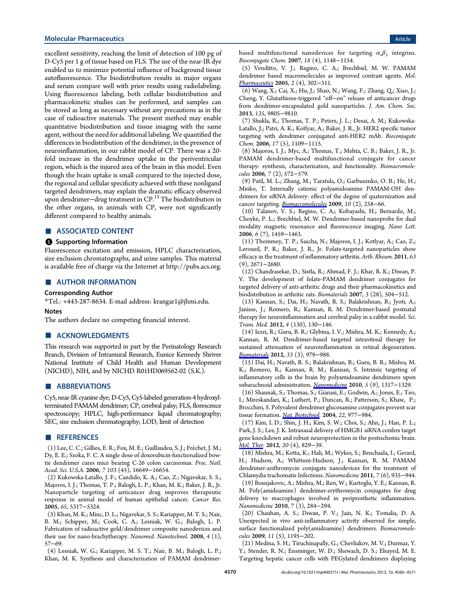<span id="page-10-0"></span>excellent sensitivity, reaching the limit of detection of 100 pg of D-Cy5 per 1 g of tissue based on FLS. The use of the near-IR dye enabled us to minimize potential influence of background tissue autofluorescence. The biodistribution results in major organs and serum compare well with prior results using radiolabeling. Using fluorescence labeling, both cellular biodistribution and pharmacokinetic studies can be performed, and samples can be stored as long as necessary without any precautions as in the case of radioactive materials. The present method may enable quantitative biodistribution and tissue imaging with the same agent, without the need for additional labeling. We quantified the differences in biodistribution of the dendrimer, in the presence of neuroinflammation, in our rabbit model of CP. There was a 20 fold increase in the dendrimer uptake in the periventricular region, which is the injured area of the brain in this model. Even though the brain uptake is small compared to the injected dose, the regional and cellular specificity achieved with these nonligand targeted dendrimers, may explain the dramatic efficacy observed upon dendrimer−drug treatment in CP.<sup>13</sup> The biodistribution in the other organs, in animals with CP, were not significantly different compared to healthy animals.

# ■ ASSOCIATED CONTENT

#### **S** Supporting Information

Fluorescence excitation and emission, HPLC characterization, size exclusion chromatographs, and urine samples. This material is available free of charge via the Internet at http://pubs.acs.org.

#### ■ AUTHOR INFORMATION

#### Corresponding Author

\*Tel.: +443-287-8634. E-mail address: krangar1@jhmi.edu.

#### Notes

The authors declare no competing fina[ncial interest.](mailto:krangar1@jhmi.edu)

#### ■ ACKNOWLEDGMENTS

This research was supported in part by the Perinatology Research Branch, Division of Intramural Research, Eunice Kennedy Shriver National Institute of Child Health and Human Development (NICHD), NIH, and by NICHD R01HD069562-02 (S.K.).

#### ■ ABBREVIATIONS

Cy5, near-IR cyanine dye; D-Cy5, Cy5-labeled generation-4 hydroxylterminated PAMAM dendrimer; CP, cerebral palsy; FLS, florescence spectroscopy; HPLC, high-performance liquid chromatography; SEC, size exclusion chromatography; LOD, limit of detection

#### ■ REFERENCES

(1) Lee, C. C.; Gillies, E. R.; Fox, M. E.; Guillaudeu, S. J.; Frechet, J. M.; ́ Dy, E. E.; Szoka, F. C. A single dose of doxorubicin-functionalized bowtie dendrimer cures mice bearing C-26 colon carcinomas. Proc. Natl. Acad. Sci. U.S.A. 2006, 7 103 (45), 16649−16654.

(2) Kukowska-Latallo, J. F.; Candido, K. A.; Cao, Z.; Nigavekar, S. S.; Majoros, I. J.; Thomas, T. P.; Balogh, L. P.; Khan, M. K.; Baker, J. R., Jr. Nanoparticle targeting of anticancer drug improves therapeutic response in animal model of human epithelial cancer. Cancer Res. 2005, 65, 5317−5324.

(3) Khan, M. K.; Minc, D. L.; Nigavekar, S. S.; Kariapper, M. T. S.; Nair, B. M.; Schipper, M.; Cook, C. A.; Lesniak, W. G.; Balogh, L. P. Fabrication of radioactive gold/dendrimer composite nanodevices and their use for nano-brachytherapy. Nanomed. Nanotechnol. 2008, 4 (1), 57−69.

(4) Lesniak, W. G.; Kariapper, M. S. T.; Nair, B. M.; Balogh, L. P.; Khan, M. K. Synthesis and characterization of PAMAM dendrimerbased multifunctional nanodevices for targeting  $\alpha_v \beta_3$  integrins. Bioconjugate Chem. 2007, 18 (4), 1148−1154.

(5) Venditto, V. J.; Regino, C. A.; Brechbiel, M. W. PAMAM dendrimer based macromolecules as improved contrast agents. Mol. Pharmaceutics 2005, 2 (4), 302−311.

(6) Wang, X.; Cai, X.; Hu, J.; Shao, N.; Wang, F.; Zhang, Q.; Xiao, J.; Cheng, Y. Glutathione-triggered "off−on" release of anticancer drugs from dendrimer-encapsulated gold nanoparticles. J. Am. Chem. Soc. 2013, 135, 9805−9810.

(7) Shukla, R.; Thomas, T. P.; Peters, J. L.; Desai, A. M.; Kukowska-Latallo, J.; Patri, A. K.; Kotlyar, A.; Baker, J. R., Jr. HER2 specific tumor targeting with dendrimer conjugated anti-HER2 mAb. Bioconjugate Chem. 2006, 17 (5), 1109−1115.

(8) Majoros, I. J.; Myc, A.; Thomas, T.; Mehta, C. B.; Baker, J. R., Jr. PAMAM dendrimer-based multifunctional conjugate for cancer therapy: synthesis, characterization, and functionality. Biomacromolecules 2006, 7 (2), 572−579.

(9) Patil, M. L.; Zhang, M.; Taratula, O.; Garbuzenko, O. B.; He, H.; Minko, T. Internally cationic polyamidoamine PAMAM-OH dendrimers for siRNA delivery: effect of the degree of quaternization and cancer targeting. Biomacromolecules 2009, 10 (2), 258−66.

(10) Talanov, V. S.; Regino, C. A.; Kobayashi, H.; Bernardo, M.; Choyke, P. L.; Brechbiel, M. W. Dendrimer-based nanoprobe for dual modality magnetic resonance and fluorescence imaging. Nano Lett. 2006, 6 (7), 1459−1463.

(11) Thommey, T. P.; Sascha, N.; Majoros, I. J.; Kotlyar, A.; Cao, Z.; Leroueil, P. R.; Baker, J. R., Jr. Folate-targeted nanoparticles show efficacy in the treatment of inflammatory arthritis. Arth. Rheum. 2011, 63 (9), 2671−2680.

(12) Chandrasekar, D.; Sistla, R.; Ahmad, F. J.; Khar, R. K.; Diwan, P. V. The development of folate-PAMAM dendrimer conjugates for targeted delivery of anti-arthritic drugs and their pharmacokinetics and biodistribution in arthritic rats. Biomaterials 2007, 3 (28), 504−512.

(13) Kannan, S.; Dai, H.; Navath, R. S.; Balakrishnan, B.; Jyoti, A.; Janisse, J.; Romero, R.; Kannan, R. M. Dendrimer-based postnatal therapy for neuroinflammation and cerebral palsy in a rabbit model. Sci. Trans. Med. 2012, 4 (130), 130−146.

(14) Iezzi, R.; Guru, B. R.; Glybina, I. V.; Mishra, M. K.; Kennedy, A.; Kannan, R. M. Dendrimer-based targeted intravitreal therapy for sustained attenuation of neuroinflammation in retinal degeneration. Biomaterials 2012, 33 (3), 979−988.

(15) Dai, H.; Navath, R. S.; Balakrishnan, B.; Guru, B. R.; Mishra, M. K.; Romero, R.; Kannan, R. M.; Kannan, S. Intrinsic targeting of inflammatory cells in the brain by polyamidoamine dendrimers upon subarachnoid administration. Nanomedicine 2010, 5 (9), 1317-1329.

(16) Shaunak, S.; Thomas, S.; Gianasi, E.; Godwin, A.; Jones, E.; Teo, I.; Mireskandari, K.; Luthert, P.; Duncan, R.; Patterson, S.; Khaw, P.; Brocchini, S. Polyvalent dendrimer glucosamine conjugates prevent scar tissue formation. Nat. Biotechnol. 2004, 22, 977−984.

(17) Kim, I. D.; Shin, J. H.; Kim, S. W.; Choi, S.; Ahn, J.; Han, P. L.; Park, J. S.; Lee, J. K. Intranasal delivery of HMGB1 siRNA confers target gene knockdown and robust neuroprotection in the postischemic brain. Mol. Ther. 2012, 20 (4), 829-39.

(18) Mishra, M.; Kotta, K.; Hali, M.; Wykes, S.; Benchaala, I.; Gerard, H.; Hudson, A.; Whittum-Hudson, J.; Kannan, R. M. PAMAM dendrimer-azithromycin conjugate nanodevices for the treatment of Chlamydia trachomatis Infections. Nanomedicine 2011, 7 (6), 935−944.

(19) Bosnjakovic, A.; Mishra, M.; Ren, W.; Kurtoglu, Y. E.; Kannan, R. M. Poly(amidoamine) dendrimer-erythromycin conjugates for drug delivery to macrophages involved in periprosthetic inflammation. Nanomedicine 2010, 7 (3), 284−294.

(20) Chauhan, A. S.; Diwan, P. V.; Jain, N. K.; Tomalia, D. A. Unexpected in vivo anti-inflammatory activity observed for simple, surface functionalized poly(amidoamine) dendrimers. Biomacromolecules 2009, 11 (5), 1195−202.

(21) Medina, S. H.; Tiruchinapally, G.; Chevliakov, M. V.; Durmaz, Y. Y.; Stender, R. N.; Ensminger, W. D.; Shewach, D. S.; Elsayed, M. E. Targeting hepatic cancer cells with PEGylated dendrimers displaying